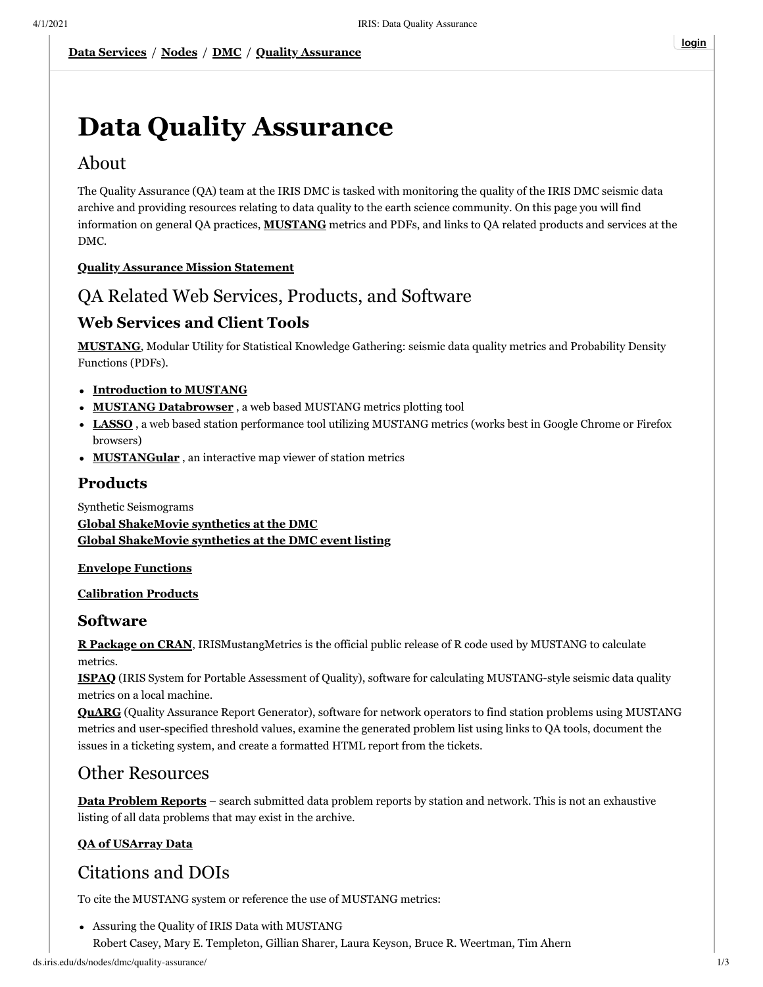# **Data Quality Assurance**

# About

The Quality Assurance (QA) team at the IRIS DMC is tasked with monitoring the quality of the IRIS DMC seismic data archive and providing resources relating to data quality to the earth science community. On this page you will find information on general QA practices, **[MUSTANG](http://services.iris.edu/mustang/)** metrics and PDFs, and links to QA related products and services at the DMC.

## **[Quality Assurance Mission Statement](http://www.iris.edu/ds/nodes/dmc/about/sections/quality-assurance/)**

# QA Related Web Services, Products, and Software

## **Web Services and Client Tools**

**[MUSTANG](http://services.iris.edu/mustang/)**, Modular Utility for Statistical Knowledge Gathering: seismic data quality metrics and Probability Density Functions (PDFs).

### **[Introduction to MUSTANG](http://ds.iris.edu/ds/nodes/dmc/quality-assurance/mustang)**

- **[MUSTANG Databrowser](http://ds.iris.edu/mustang/databrowser/)** , a web based MUSTANG metrics plotting tool
- **[LASSO](http://lasso.iris.edu/)** , a web based station performance tool utilizing MUSTANG metrics (works best in Google Chrome or Firefox browsers)
- **[MUSTANGular](http://ds.iris.edu/mustang/mustangular)** , an interactive map viewer of station metrics

## **Products**

Synthetic Seismograms **[Global ShakeMovie synthetics at the DMC](http://www.iris.edu/ds/products/shakemoviesynthetics/) [Global ShakeMovie synthetics at the DMC event listing](http://www.iris.edu/spud/synthetic)**

#### **[Envelope Functions](http://ds.iris.edu/ds/products/envelopefunctions/)**

#### **[Calibration Products](http://ds.iris.edu/ds/products/calibration/)**

## **Software**

**[R Package on CRAN](https://cran.r-project.org/web/packages/IRISMustangMetrics)**, IRISMustangMetrics is the official public release of R code used by MUSTANG to calculate metrics.

**[ISPAQ](https://github.com/iris-edu/ispaq)** (IRIS System for Portable Assessment of Quality), software for calculating MUSTANG-style seismic data quality metrics on a local machine.

**[QuARG](https://github.com/iris-edu/quarg)** (Quality Assurance Report Generator), software for network operators to find station problems using MUSTANG metrics and user-specified threshold values, examine the generated problem list using links to QA tools, document the issues in a ticketing system, and create a formatted HTML report from the tickets.

# Other Resources

**[Data Problem Reports](http://www.iris.edu/data/dpr.htm)** – search submitted data problem reports by station and network. This is not an exhaustive listing of all data problems that may exist in the archive.

## **[QA of USArray Data](http://www.iris.edu/ds/nodes/dmc/earthscope/usarray/qc/)**

# Citations and DOIs

To cite the MUSTANG system or reference the use of MUSTANG metrics:

Assuring the Quality of IRIS Data with MUSTANG Robert Casey, Mary E. Templeton, Gillian Sharer, Laura Keyson, Bruce R. Weertman, Tim Ahern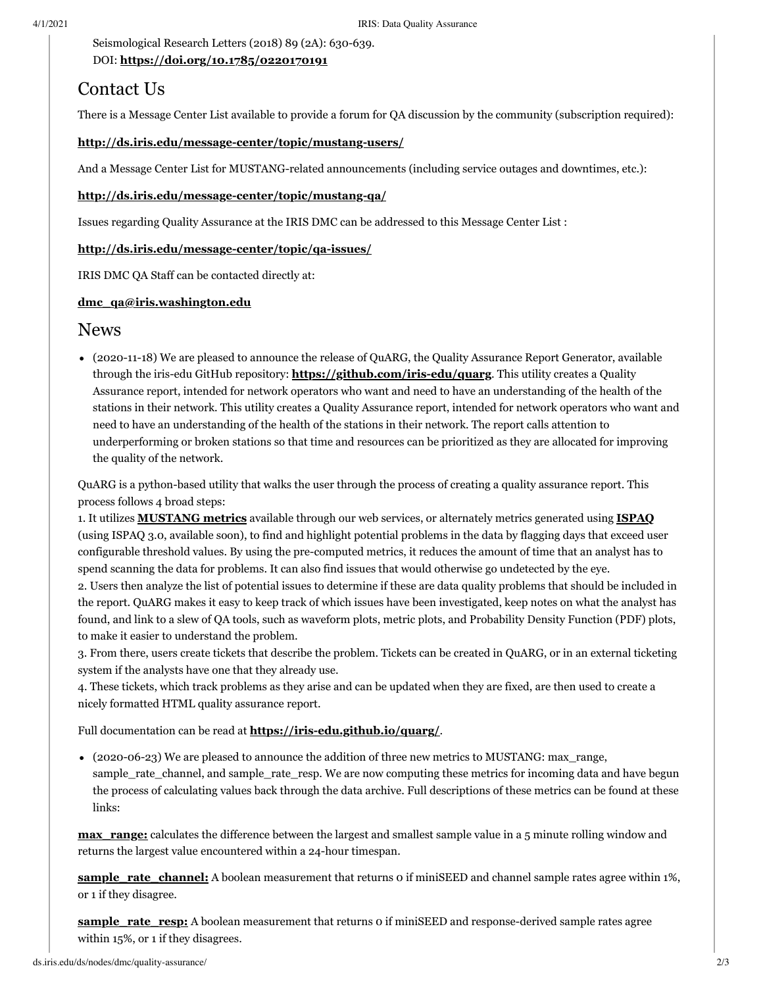Seismological Research Letters (2018) 89 (2A): 630-639. DOI: **<https://doi.org/10.1785/0220170191>**

# Contact Us

There is a Message Center List available to provide a forum for QA discussion by the community (subscription required):

#### **<http://ds.iris.edu/message-center/topic/mustang-users/>**

And a Message Center List for MUSTANG-related announcements (including service outages and downtimes, etc.):

#### **<http://ds.iris.edu/message-center/topic/mustang-qa/>**

Issues regarding Quality Assurance at the IRIS DMC can be addressed to this Message Center List :

#### **<http://ds.iris.edu/message-center/topic/qa-issues/>**

IRIS DMC QA Staff can be contacted directly at:

#### **[dmc\\_qa@iris.washington.edu](mailto:dmc_qa@iris.washington.edu)**

## News

(2020-11-18) We are pleased to announce the release of QuARG, the Quality Assurance Report Generator, available through the iris-edu GitHub repository: **<https://github.com/iris-edu/quarg>**. This utility creates a Quality Assurance report, intended for network operators who want and need to have an understanding of the health of the stations in their network. This utility creates a Quality Assurance report, intended for network operators who want and need to have an understanding of the health of the stations in their network. The report calls attention to underperforming or broken stations so that time and resources can be prioritized as they are allocated for improving the quality of the network.

QuARG is a python-based utility that walks the user through the process of creating a quality assurance report. This process follows 4 broad steps:

1. It utilizes **[MUSTANG metrics](http://service.iris.edu/mustang/)** available through our web services, or alternately metrics generated using **[ISPAQ](https://github.com/iris-edu/ispaq)** (using ISPAQ 3.0, available soon), to find and highlight potential problems in the data by flagging days that exceed user configurable threshold values. By using the pre-computed metrics, it reduces the amount of time that an analyst has to spend scanning the data for problems. It can also find issues that would otherwise go undetected by the eye.

2. Users then analyze the list of potential issues to determine if these are data quality problems that should be included in the report. QuARG makes it easy to keep track of which issues have been investigated, keep notes on what the analyst has found, and link to a slew of QA tools, such as waveform plots, metric plots, and Probability Density Function (PDF) plots, to make it easier to understand the problem.

3. From there, users create tickets that describe the problem. Tickets can be created in QuARG, or in an external ticketing system if the analysts have one that they already use.

4. These tickets, which track problems as they arise and can be updated when they are fixed, are then used to create a nicely formatted HTML quality assurance report.

Full documentation can be read at **<https://iris-edu.github.io/quarg/>**.

(2020-06-23) We are pleased to announce the addition of three new metrics to MUSTANG: max\_range, sample\_rate\_channel, and sample\_rate\_resp. We are now computing these metrics for incoming data and have begun the process of calculating values back through the data archive. Full descriptions of these metrics can be found at these links:

**max** range: calculates the difference between the largest and smallest sample value in a 5 minute rolling window and returns the largest value encountered within a 24-hour timespan.

**sample rate channel:** A boolean measurement that returns 0 if miniSEED and channel sample rates agree within 1%, or 1 if they disagree.

**sample** rate resp: A boolean measurement that returns o if miniSEED and response-derived sample rates agree within 15%, or 1 if they disagrees.